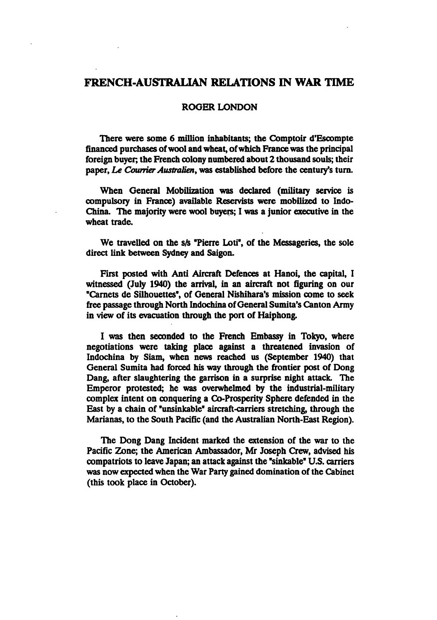# FRENCH-AUSTRALIAN RELATIONS IN WAR TIME

## ROGER LONDON

There were some 6 million inhabitants; the Comptoir d'Escompte financed purchases of wool and wheat, of which France was the principal foreign buyer; the French colony numbered about 2 thousand souls; their paper, Le Courrier Australien, was established before the century's turn.

When General Mobilization was declared (military service is compulsory in France) available Reservists were mobilized to Indo-China. The majority were wool buyers; I was a junior executive in the wheat trade.

We travelled on the s/s "Pierre Loti", of the Messageries, the sole direct link between Sydney and Saigon.

First posted with Anti Aircraft Defences at Hanoi, the capital, I witnessed (July 1940) the arrival, in an aircraft not figuring on our "Carnets de Silhouettes", of General Nishihara's mission come to seek free passage through North Indochina of General Sumita's Canton Army in view of its evacuation through the port of Haiphong.

was then seconded to the French Embassy in Tokyo, where negotiations were taking place against a threatened invasion of Indochina by Siam, when news reached us (September 1940) that General Sumita had forced his way through the frontier post of Dong Dang, after slaughtering the garrison in a surprise night attack. The Emperor protested; he was overwhelmed by the industrial-military complex intent on conquering a Co-Prosperity Sphere defended in the East by a chain of "unsinkable" aircraft-carriers stretching, through the Marianas, to the South Pacific (and the Australian North-East Region).

The Dong Dang Incident marked the extension of the war to the Pacific Zone; the American Ambassador, Mr Joseph Crew, advised his compatriots to leave Japan; an attack against the "sinkable" U.S. carriers was now expected when the War Party gained domination of the Cabinet (this took place in October).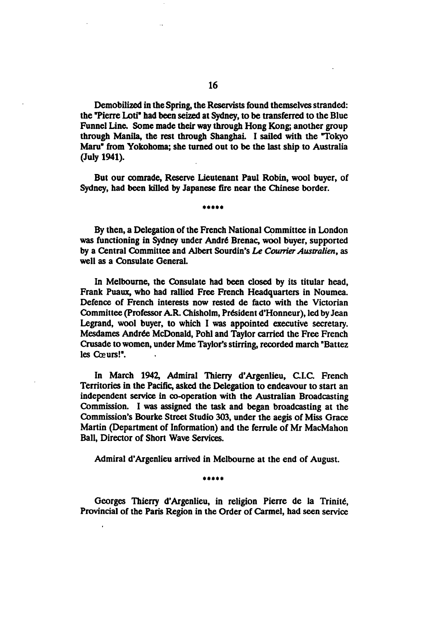Demobilized in the Spring, the Reservists found themselves stranded: the "Pierre Loti" had been seized at Sydney, to be transferred to the Blue Funnel Line. Some made their way through Hong Kong; another group through Manila, the rest through Shanghai. I sailed with the "Tokyo Maru" from Yokohoma; she turned out to be the last ship to Australia (July 1941).

But our comrade, Reserve Lieutenant Paul Robin, wool buyer, of Sydney, had been killed by Japanese fire near the Chinese border.

By then, a Delegation of the French National Committee in London was functioning in Sydney under Andre Brenac, wool buyer, supported by a Central Committee and Albert Sourdin's Le Courrier Australien, as well as a Consulate General.

In Melbourne, the Consulate had been closed by its titular head, Frank Puaux, who had rallied Free French Headquarters in Noumea. Defence of French interests now rested de facto with the Victorian Committee (Professor AR. Chisholm, President d'Honneur), led by Jean Legrand, wool buyer, to which I was appointed executive secretary. Mesdames Andrée McDonald, Pohl and Taylor carried the Free French Crusade to women, under Mme Taylor's stirring, recorded march "Battez les Cœurs!".

In March 1942, Admiral Thierry d'Argenlieu, CI.C French Territories in the Pacific, asked the Delegation to endeavour to start an independent service in co-operation with the Australian Broadcasting Commission. I was assigned the task and began broadcasting at the Commission's Bourke Street Studio 303, under the aegis of Miss Grace Martin (Department of Information) and the ferrule of Mr MacMahon Ball, Director of Short Wave Services.

Admiral d'Argenlieu arrived in Melbourne at the end of August.

\*\*\*\*\*

Georges Thierry d'Argenlieu, in religion Pierre de la Trinité, Provincial of the Paris Region in the Order of Carmel, had seen service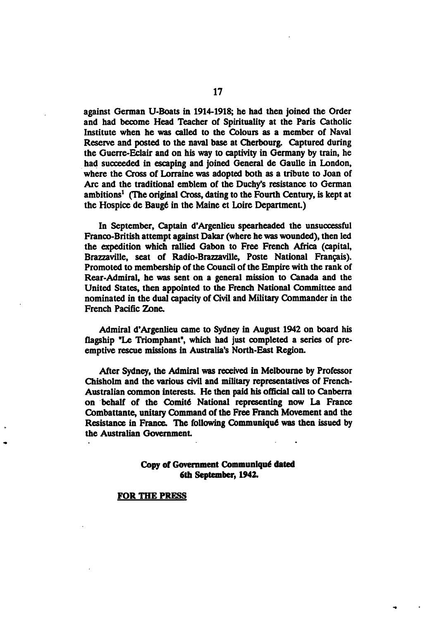against German U-Boats in 1914-1918; he had then joined the Order and had become Head Teacher of Spirituality at the Paris Catholic Institute when he was called to the Colours as member of Naval Reserve and posted to the naval base at Cherbourg. Captured during the Guerre-Eclair and on his way to captivity in Germany by train, he had succeeded in escaping and joined General de Gaulle in London, where the Cross of Lorraine was adopted both as a tribute to Joan of Arc and the traditional emblem of the Duchy's resistance to German ambitions<sup>1</sup> (The original Cross, dating to the Fourth Century, is kept at the Hospice de Baug6 in the Maine et Loire Department)

In September, Captain d'Argenlieu spearheaded the unsuccessful Franco-British attempt against Dakar (where he was wounded), then led the expedition which rallied Gabon to Free French Africa (capital, Brazzaville, seat of Radio-Brazzaville, Poste National Francais). Promoted to membership of the Council of the Empire with the rank of Rear-Admiral, he was sent on a general mission to Canada and the United States, then appointed to the French National Committee and nominated in the dual capacity of Civil and Military Commander in the French Pacific Zone.

Admiral d'Argenlieu came to Sydney in August 1942 on board his flagship "Le Triomphant", which had just completed a series of preemptive rescue missions in Australia's North-East Region.

After Sydney, the Admiral was received in Melbourne by Professor Chisholm and the various civil and military representatives of French-Australian common interests. He then paid his official call to Canberra on behalf of the Comit6 National representing now La France Combattante, unitary Command of the Free French Movement and the Resistance in France. The following Communiqué was then issued by the Australian Government

## Copy of Government Communiqué dated 6th September, 1942.

### FOR THE PRESS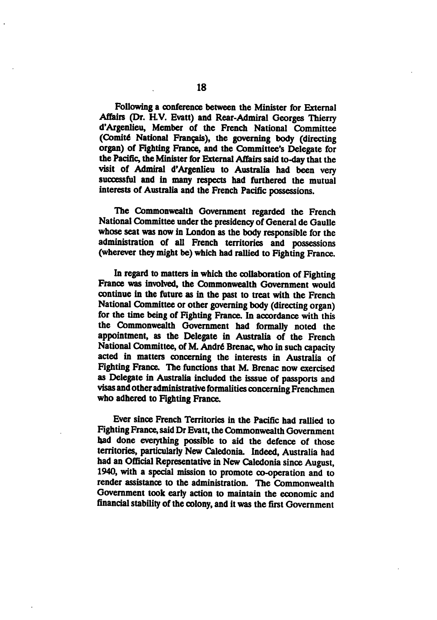Following a conference between the Minister for External Affairs (Dr. H.V. Evatt) and Rear-Admiral Georges Thierry d'Argenlieu, Member of the French National Committee (Comit6 National Francais), the governing body (directing organ) of Fighting France, and the Committee's Delegate for the Pacific, the Minister for External Affairs said to-day that the visit of Admiral d'Argenlieu to Australia had been very successful and in many respects had furthered the mutual interests of Australia and the French Pacific possessions.

The Commonwealth Government regarded the French National Committee under the presidency of General de Gaulle whose seat was now in London as the body responsible for the administration of all French territories and possessions (wherever they might be) which had rallied to Fighting France.

In regard to matters in which the collaboration of Fighting France was involved, the Commonwealth Government would continue in the future as in the past to treat with the French National Committee or other governing body (directing organ) for the time being of Fighting France. In accordance with this the Commonwealth Government had formally noted the appointment, as the Delegate in Australia of the French National Committee, of M. André Brenac, who in such capacity acted in matters concerning the interests in Australia of Fighting France. The functions that M. Brenac now exercised as Delegate in Australia included the isssue of passports and visas and other administrative formalities concerning Frenchmen who adhered to Fighting France.

Ever since French Territories in the Pacific had rallied to Fighting France, said Dr Evatt, the Commonwealth Government bad done everything possible to aid the defence of those territories, particularly New Caledonia. Indeed, Australia had had an Official Representative in New Caledonia since August, 1940, with a special mission to promote co-operation and to render assistance to the administration. The Commonwealth Government took early action to maintain the economic and financial stability of the colony, and it was the first Government